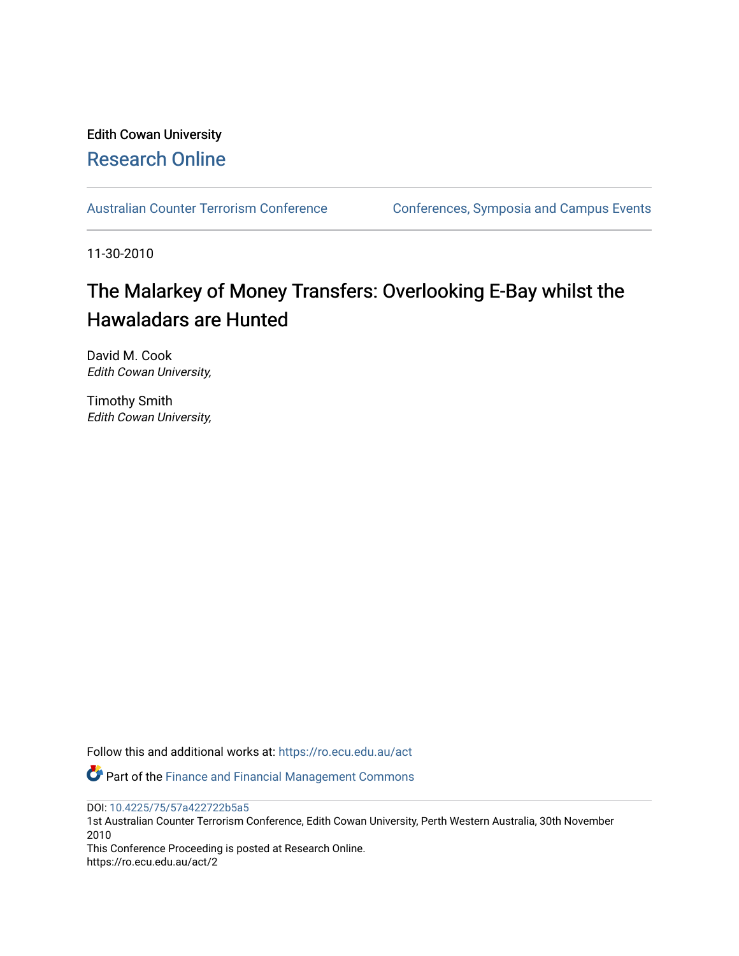## Edith Cowan University [Research Online](https://ro.ecu.edu.au/)

[Australian Counter Terrorism Conference](https://ro.ecu.edu.au/act) Conferences, Symposia and Campus Events

11-30-2010

# The Malarkey of Money Transfers: Overlooking E-Bay whilst the Hawaladars are Hunted

David M. Cook Edith Cowan University,

Timothy Smith Edith Cowan University,

Follow this and additional works at: [https://ro.ecu.edu.au/act](https://ro.ecu.edu.au/act?utm_source=ro.ecu.edu.au%2Fact%2F2&utm_medium=PDF&utm_campaign=PDFCoverPages) 

Part of the [Finance and Financial Management Commons](http://network.bepress.com/hgg/discipline/631?utm_source=ro.ecu.edu.au%2Fact%2F2&utm_medium=PDF&utm_campaign=PDFCoverPages) 

DOI: [10.4225/75/57a422722b5a5](https://doi.org/10.4225/75/57a422722b5a5) 

1st Australian Counter Terrorism Conference, Edith Cowan University, Perth Western Australia, 30th November 2010

This Conference Proceeding is posted at Research Online. https://ro.ecu.edu.au/act/2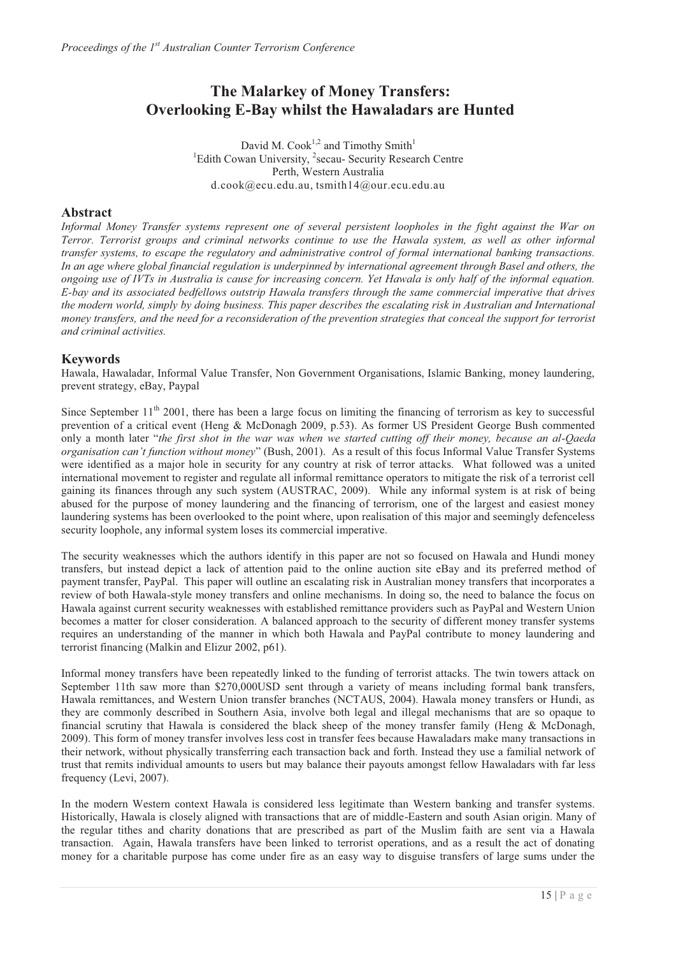## **The Malarkey of Money Transfers: Overlooking E-Bay whilst the Hawaladars are Hunted**

David M.  $Cook<sup>1,2</sup>$  and Timothy Smith<sup>1</sup> <sup>1</sup>Edith Cowan University, <sup>2</sup>secau- Security Research Centre Perth, Western Australia d.cook@ecu.edu.au, tsmith14@our.ecu.edu.au

#### **Abstract**

*Informal Money Transfer systems represent one of several persistent loopholes in the fight against the War on Terror. Terrorist groups and criminal networks continue to use the Hawala system, as well as other informal transfer systems, to escape the regulatory and administrative control of formal international banking transactions.*  In an age where global financial regulation is underpinned by international agreement through Basel and others, the *ongoing use of IVTs in Australia is cause for increasing concern. Yet Hawala is only half of the informal equation. E-bay and its associated bedfellows outstrip Hawala transfers through the same commercial imperative that drives the modern world, simply by doing business. This paper describes the escalating risk in Australian and International money transfers, and the need for a reconsideration of the prevention strategies that conceal the support for terrorist and criminal activities.*

#### **Keywords**

Hawala, Hawaladar, Informal Value Transfer, Non Government Organisations, Islamic Banking, money laundering, prevent strategy, eBay, Paypal

Since September  $11<sup>th</sup>$  2001, there has been a large focus on limiting the financing of terrorism as key to successful prevention of a critical event (Heng & McDonagh 2009, p.53). As former US President George Bush commented only a month later "*the first shot in the war was when we started cutting off their money, because an al-Qaeda organisation can't function without money*" (Bush, 2001). As a result of this focus Informal Value Transfer Systems were identified as a major hole in security for any country at risk of terror attacks. What followed was a united international movement to register and regulate all informal remittance operators to mitigate the risk of a terrorist cell gaining its finances through any such system (AUSTRAC, 2009). While any informal system is at risk of being abused for the purpose of money laundering and the financing of terrorism, one of the largest and easiest money laundering systems has been overlooked to the point where, upon realisation of this major and seemingly defenceless security loophole, any informal system loses its commercial imperative.

The security weaknesses which the authors identify in this paper are not so focused on Hawala and Hundi money transfers, but instead depict a lack of attention paid to the online auction site eBay and its preferred method of payment transfer, PayPal. This paper will outline an escalating risk in Australian money transfers that incorporates a review of both Hawala-style money transfers and online mechanisms. In doing so, the need to balance the focus on Hawala against current security weaknesses with established remittance providers such as PayPal and Western Union becomes a matter for closer consideration. A balanced approach to the security of different money transfer systems requires an understanding of the manner in which both Hawala and PayPal contribute to money laundering and terrorist financing (Malkin and Elizur 2002, p61).

Informal money transfers have been repeatedly linked to the funding of terrorist attacks. The twin towers attack on September 11th saw more than \$270,000USD sent through a variety of means including formal bank transfers, Hawala remittances, and Western Union transfer branches (NCTAUS, 2004). Hawala money transfers or Hundi, as they are commonly described in Southern Asia, involve both legal and illegal mechanisms that are so opaque to financial scrutiny that Hawala is considered the black sheep of the money transfer family (Heng & McDonagh, 2009). This form of money transfer involves less cost in transfer fees because Hawaladars make many transactions in their network, without physically transferring each transaction back and forth. Instead they use a familial network of trust that remits individual amounts to users but may balance their payouts amongst fellow Hawaladars with far less frequency (Levi, 2007).

In the modern Western context Hawala is considered less legitimate than Western banking and transfer systems. Historically, Hawala is closely aligned with transactions that are of middle-Eastern and south Asian origin. Many of the regular tithes and charity donations that are prescribed as part of the Muslim faith are sent via a Hawala transaction. Again, Hawala transfers have been linked to terrorist operations, and as a result the act of donating money for a charitable purpose has come under fire as an easy way to disguise transfers of large sums under the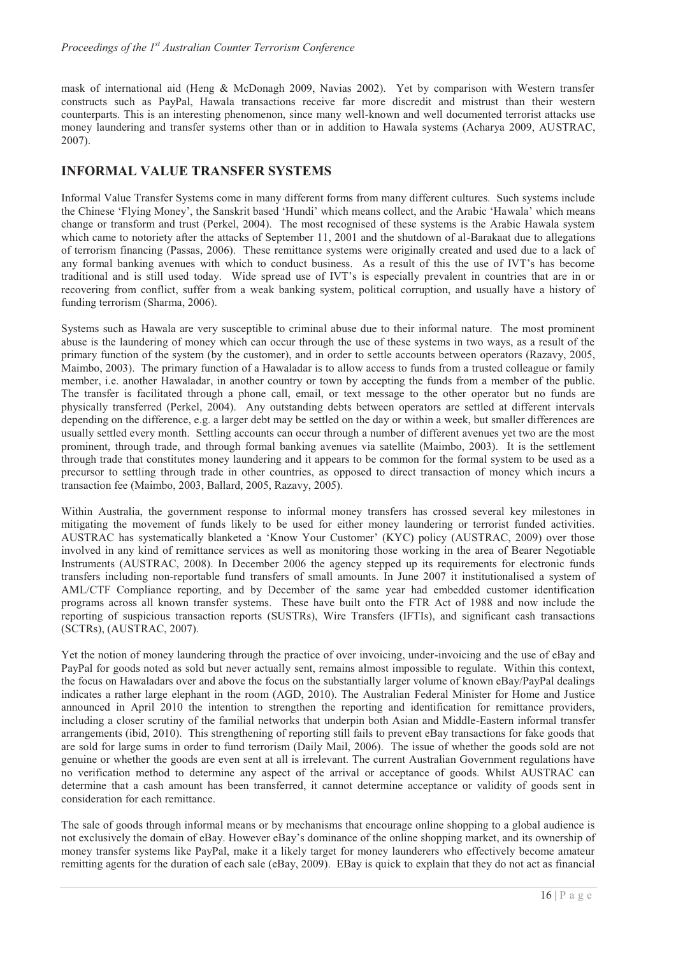mask of international aid (Heng & McDonagh 2009, Navias 2002). Yet by comparison with Western transfer constructs such as PayPal, Hawala transactions receive far more discredit and mistrust than their western counterparts. This is an interesting phenomenon, since many well-known and well documented terrorist attacks use money laundering and transfer systems other than or in addition to Hawala systems (Acharya 2009, AUSTRAC, 2007).

## **INFORMAL VALUE TRANSFER SYSTEMS**

Informal Value Transfer Systems come in many different forms from many different cultures. Such systems include the Chinese 'Flying Money', the Sanskrit based 'Hundi' which means collect, and the Arabic 'Hawala' which means change or transform and trust (Perkel, 2004). The most recognised of these systems is the Arabic Hawala system which came to notoriety after the attacks of September 11, 2001 and the shutdown of al-Barakaat due to allegations of terrorism financing (Passas, 2006). These remittance systems were originally created and used due to a lack of any formal banking avenues with which to conduct business. As a result of this the use of IVT's has become traditional and is still used today. Wide spread use of IVT's is especially prevalent in countries that are in or recovering from conflict, suffer from a weak banking system, political corruption, and usually have a history of funding terrorism (Sharma, 2006).

Systems such as Hawala are very susceptible to criminal abuse due to their informal nature. The most prominent abuse is the laundering of money which can occur through the use of these systems in two ways, as a result of the primary function of the system (by the customer), and in order to settle accounts between operators (Razavy, 2005, Maimbo, 2003). The primary function of a Hawaladar is to allow access to funds from a trusted colleague or family member, i.e. another Hawaladar, in another country or town by accepting the funds from a member of the public. The transfer is facilitated through a phone call, email, or text message to the other operator but no funds are physically transferred (Perkel, 2004). Any outstanding debts between operators are settled at different intervals depending on the difference, e.g. a larger debt may be settled on the day or within a week, but smaller differences are usually settled every month. Settling accounts can occur through a number of different avenues yet two are the most prominent, through trade, and through formal banking avenues via satellite (Maimbo, 2003). It is the settlement through trade that constitutes money laundering and it appears to be common for the formal system to be used as a precursor to settling through trade in other countries, as opposed to direct transaction of money which incurs a transaction fee (Maimbo, 2003, Ballard, 2005, Razavy, 2005).

Within Australia, the government response to informal money transfers has crossed several key milestones in mitigating the movement of funds likely to be used for either money laundering or terrorist funded activities. AUSTRAC has systematically blanketed a 'Know Your Customer' (KYC) policy (AUSTRAC, 2009) over those involved in any kind of remittance services as well as monitoring those working in the area of Bearer Negotiable Instruments (AUSTRAC, 2008). In December 2006 the agency stepped up its requirements for electronic funds transfers including non-reportable fund transfers of small amounts. In June 2007 it institutionalised a system of AML/CTF Compliance reporting, and by December of the same year had embedded customer identification programs across all known transfer systems. These have built onto the FTR Act of 1988 and now include the reporting of suspicious transaction reports (SUSTRs), Wire Transfers (IFTIs), and significant cash transactions (SCTRs), (AUSTRAC, 2007).

Yet the notion of money laundering through the practice of over invoicing, under-invoicing and the use of eBay and PayPal for goods noted as sold but never actually sent, remains almost impossible to regulate. Within this context, the focus on Hawaladars over and above the focus on the substantially larger volume of known eBay/PayPal dealings indicates a rather large elephant in the room (AGD, 2010). The Australian Federal Minister for Home and Justice announced in April 2010 the intention to strengthen the reporting and identification for remittance providers, including a closer scrutiny of the familial networks that underpin both Asian and Middle-Eastern informal transfer arrangements (ibid, 2010). This strengthening of reporting still fails to prevent eBay transactions for fake goods that are sold for large sums in order to fund terrorism (Daily Mail, 2006). The issue of whether the goods sold are not genuine or whether the goods are even sent at all is irrelevant. The current Australian Government regulations have no verification method to determine any aspect of the arrival or acceptance of goods. Whilst AUSTRAC can determine that a cash amount has been transferred, it cannot determine acceptance or validity of goods sent in consideration for each remittance.

The sale of goods through informal means or by mechanisms that encourage online shopping to a global audience is not exclusively the domain of eBay. However eBay's dominance of the online shopping market, and its ownership of money transfer systems like PayPal, make it a likely target for money launderers who effectively become amateur remitting agents for the duration of each sale (eBay, 2009). EBay is quick to explain that they do not act as financial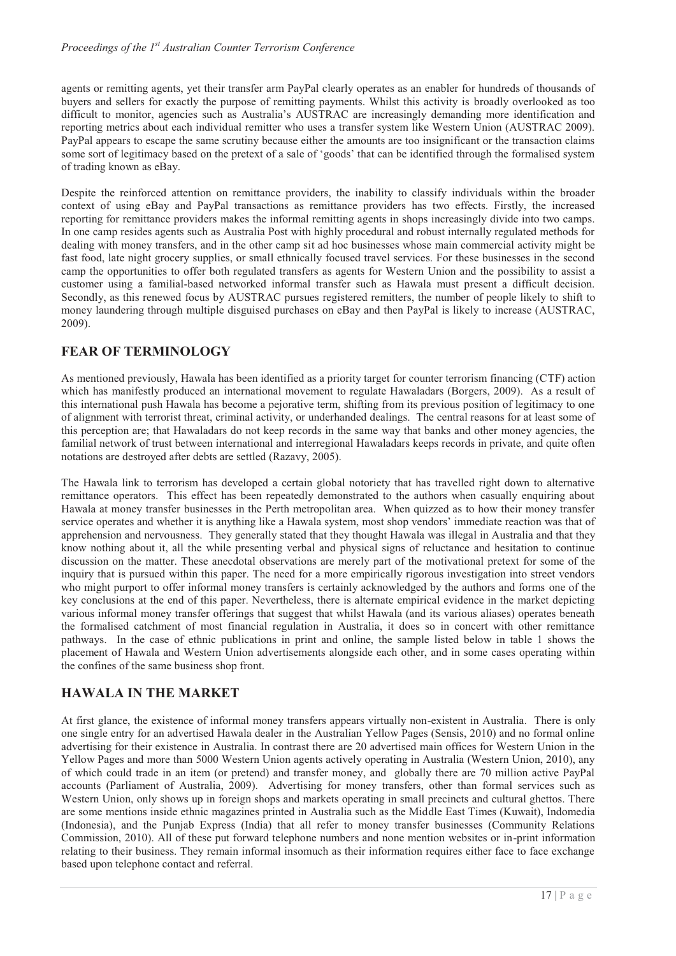agents or remitting agents, yet their transfer arm PayPal clearly operates as an enabler for hundreds of thousands of buyers and sellers for exactly the purpose of remitting payments. Whilst this activity is broadly overlooked as too difficult to monitor, agencies such as Australia's AUSTRAC are increasingly demanding more identification and reporting metrics about each individual remitter who uses a transfer system like Western Union (AUSTRAC 2009). PayPal appears to escape the same scrutiny because either the amounts are too insignificant or the transaction claims some sort of legitimacy based on the pretext of a sale of 'goods' that can be identified through the formalised system of trading known as eBay.

Despite the reinforced attention on remittance providers, the inability to classify individuals within the broader context of using eBay and PayPal transactions as remittance providers has two effects. Firstly, the increased reporting for remittance providers makes the informal remitting agents in shops increasingly divide into two camps. In one camp resides agents such as Australia Post with highly procedural and robust internally regulated methods for dealing with money transfers, and in the other camp sit ad hoc businesses whose main commercial activity might be fast food, late night grocery supplies, or small ethnically focused travel services. For these businesses in the second camp the opportunities to offer both regulated transfers as agents for Western Union and the possibility to assist a customer using a familial-based networked informal transfer such as Hawala must present a difficult decision. Secondly, as this renewed focus by AUSTRAC pursues registered remitters, the number of people likely to shift to money laundering through multiple disguised purchases on eBay and then PayPal is likely to increase (AUSTRAC, 2009).

## **FEAR OF TERMINOLOGY**

As mentioned previously, Hawala has been identified as a priority target for counter terrorism financing (CTF) action which has manifestly produced an international movement to regulate Hawaladars (Borgers, 2009). As a result of this international push Hawala has become a pejorative term, shifting from its previous position of legitimacy to one of alignment with terrorist threat, criminal activity, or underhanded dealings. The central reasons for at least some of this perception are; that Hawaladars do not keep records in the same way that banks and other money agencies, the familial network of trust between international and interregional Hawaladars keeps records in private, and quite often notations are destroyed after debts are settled (Razavy, 2005).

The Hawala link to terrorism has developed a certain global notoriety that has travelled right down to alternative remittance operators. This effect has been repeatedly demonstrated to the authors when casually enquiring about Hawala at money transfer businesses in the Perth metropolitan area. When quizzed as to how their money transfer service operates and whether it is anything like a Hawala system, most shop vendors' immediate reaction was that of apprehension and nervousness. They generally stated that they thought Hawala was illegal in Australia and that they know nothing about it, all the while presenting verbal and physical signs of reluctance and hesitation to continue discussion on the matter. These anecdotal observations are merely part of the motivational pretext for some of the inquiry that is pursued within this paper. The need for a more empirically rigorous investigation into street vendors who might purport to offer informal money transfers is certainly acknowledged by the authors and forms one of the key conclusions at the end of this paper. Nevertheless, there is alternate empirical evidence in the market depicting various informal money transfer offerings that suggest that whilst Hawala (and its various aliases) operates beneath the formalised catchment of most financial regulation in Australia, it does so in concert with other remittance pathways. In the case of ethnic publications in print and online, the sample listed below in table 1 shows the placement of Hawala and Western Union advertisements alongside each other, and in some cases operating within the confines of the same business shop front.

## **HAWALA IN THE MARKET**

At first glance, the existence of informal money transfers appears virtually non-existent in Australia. There is only one single entry for an advertised Hawala dealer in the Australian Yellow Pages (Sensis, 2010) and no formal online advertising for their existence in Australia. In contrast there are 20 advertised main offices for Western Union in the Yellow Pages and more than 5000 Western Union agents actively operating in Australia (Western Union, 2010), any of which could trade in an item (or pretend) and transfer money, and globally there are 70 million active PayPal accounts (Parliament of Australia, 2009). Advertising for money transfers, other than formal services such as Western Union, only shows up in foreign shops and markets operating in small precincts and cultural ghettos. There are some mentions inside ethnic magazines printed in Australia such as the Middle East Times (Kuwait), Indomedia (Indonesia), and the Punjab Express (India) that all refer to money transfer businesses (Community Relations Commission, 2010). All of these put forward telephone numbers and none mention websites or in-print information relating to their business. They remain informal insomuch as their information requires either face to face exchange based upon telephone contact and referral.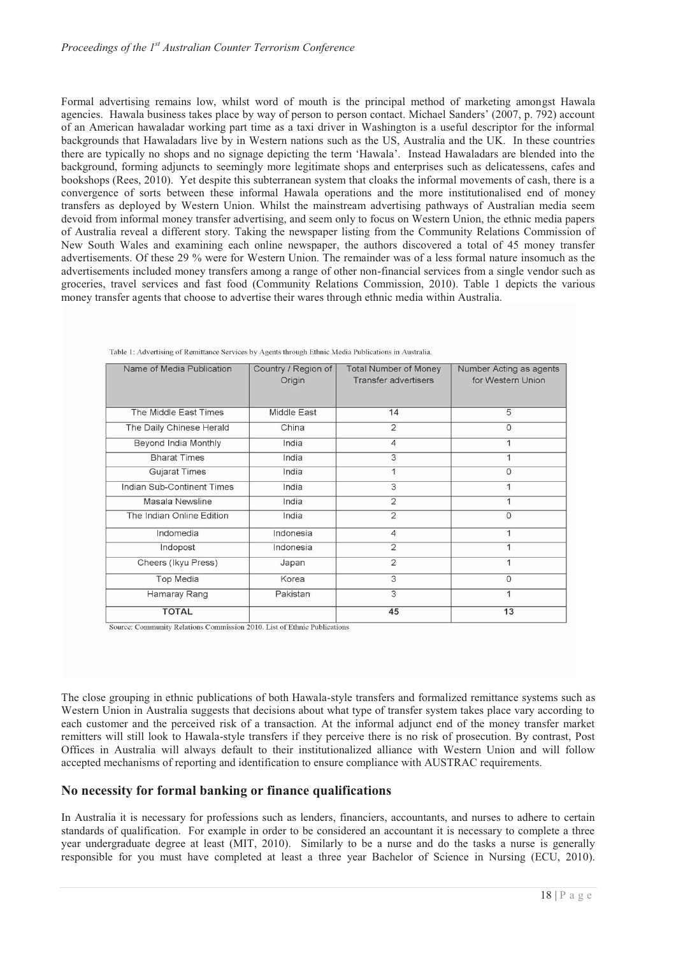Formal advertising remains low, whilst word of mouth is the principal method of marketing amongst Hawala agencies. Hawala business takes place by way of person to person contact. Michael Sanders' (2007, p. 792) account of an American hawaladar working part time as a taxi driver in Washington is a useful descriptor for the informal backgrounds that Hawaladars live by in Western nations such as the US, Australia and the UK. In these countries there are typically no shops and no signage depicting the term 'Hawala'. Instead Hawaladars are blended into the background, forming adjuncts to seemingly more legitimate shops and enterprises such as delicatessens, cafes and bookshops (Rees, 2010). Yet despite this subterranean system that cloaks the informal movements of cash, there is a convergence of sorts between these informal Hawala operations and the more institutionalised end of money transfers as deployed by Western Union. Whilst the mainstream advertising pathways of Australian media seem devoid from informal money transfer advertising, and seem only to focus on Western Union, the ethnic media papers of Australia reveal a different story. Taking the newspaper listing from the Community Relations Commission of New South Wales and examining each online newspaper, the authors discovered a total of 45 money transfer advertisements. Of these 29 % were for Western Union. The remainder was of a less formal nature insomuch as the advertisements included money transfers among a range of other non-financial services from a single vendor such as groceries, travel services and fast food (Community Relations Commission, 2010). Table 1 depicts the various money transfer agents that choose to advertise their wares through ethnic media within Australia.

| Name of Media Publication  | Country / Region of | <b>Total Number of Money</b> | Number Acting as agents |
|----------------------------|---------------------|------------------------------|-------------------------|
|                            | Origin              | <b>Transfer advertisers</b>  | for Western Union       |
|                            |                     |                              |                         |
|                            |                     |                              |                         |
| The Middle East Times      | Middle East         | 14                           | 5                       |
| The Daily Chinese Herald   | China               | $\overline{2}$               | 0                       |
| Beyond India Monthly       | India               | $\overline{4}$               |                         |
| <b>Bharat Times</b>        | India               | 3                            |                         |
| <b>Gujarat Times</b>       | India               | 1                            | 0                       |
| Indian Sub-Continent Times | India               | 3                            |                         |
| Masala Newsline            | India               | $\overline{2}$               |                         |
| The Indian Online Edition  | India               | $\overline{2}$               | $\Omega$                |
| Indomedia                  | Indonesia           | $\overline{4}$               |                         |
| Indopost                   | Indonesia           | $\overline{2}$               |                         |
| Cheers (Ikyu Press)        | Japan               | $\overline{2}$               | 1                       |
| <b>Top Media</b>           | Korea               | 3                            | $\Omega$                |
| Hamaray Rang               | Pakistan            | 3                            | 1                       |
| <b>TOTAL</b>               |                     | 45                           | 13                      |

Table 1: Advertising of Remittance Services by Agents through Ethnic Media Publications in Australia.

Source: Community Relations Commission 2010. List of Ethnic Publications

The close grouping in ethnic publications of both Hawala-style transfers and formalized remittance systems such as Western Union in Australia suggests that decisions about what type of transfer system takes place vary according to each customer and the perceived risk of a transaction. At the informal adjunct end of the money transfer market remitters will still look to Hawala-style transfers if they perceive there is no risk of prosecution. By contrast, Post Offices in Australia will always default to their institutionalized alliance with Western Union and will follow accepted mechanisms of reporting and identification to ensure compliance with AUSTRAC requirements.

#### **No necessity for formal banking or finance qualifications**

In Australia it is necessary for professions such as lenders, financiers, accountants, and nurses to adhere to certain standards of qualification. For example in order to be considered an accountant it is necessary to complete a three year undergraduate degree at least (MIT, 2010). Similarly to be a nurse and do the tasks a nurse is generally responsible for you must have completed at least a three year Bachelor of Science in Nursing (ECU, 2010).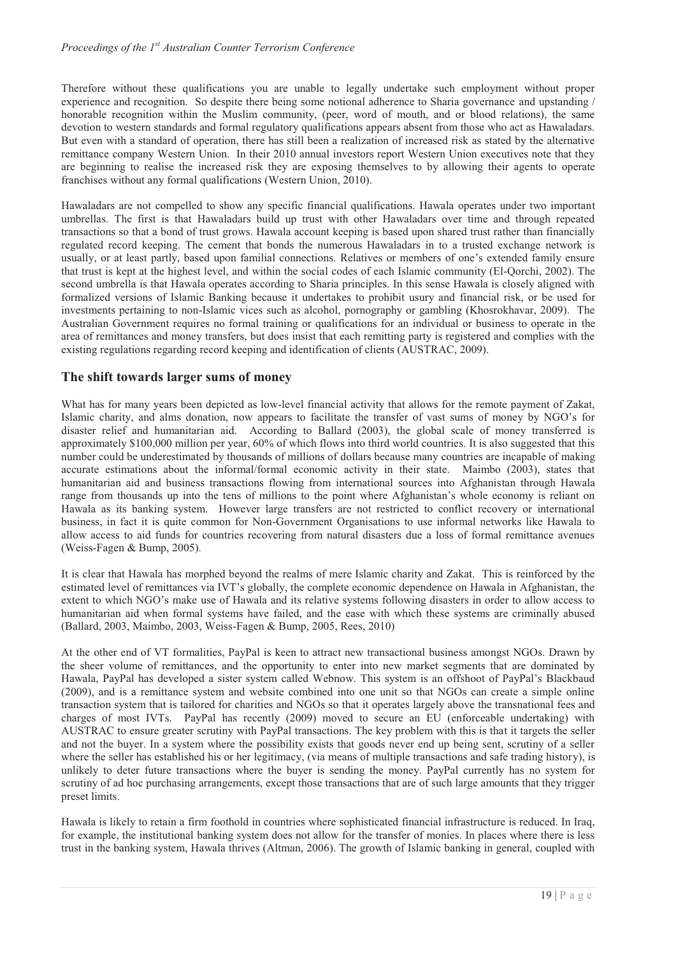Therefore without these qualifications you are unable to legally undertake such employment without proper experience and recognition. So despite there being some notional adherence to Sharia governance and upstanding / honorable recognition within the Muslim community, (peer, word of mouth, and or blood relations), the same devotion to western standards and formal regulatory qualifications appears absent from those who act as Hawaladars. But even with a standard of operation, there has still been a realization of increased risk as stated by the alternative remittance company Western Union. In their 2010 annual investors report Western Union executives note that they are beginning to realise the increased risk they are exposing themselves to by allowing their agents to operate franchises without any formal qualifications (Western Union, 2010).

Hawaladars are not compelled to show any specific financial qualifications. Hawala operates under two important umbrellas. The first is that Hawaladars build up trust with other Hawaladars over time and through repeated transactions so that a bond of trust grows. Hawala account keeping is based upon shared trust rather than financially regulated record keeping. The cement that bonds the numerous Hawaladars in to a trusted exchange network is usually, or at least partly, based upon familial connections. Relatives or members of one's extended family ensure that trust is kept at the highest level, and within the social codes of each Islamic community (El-Qorchi, 2002). The second umbrella is that Hawala operates according to Sharia principles. In this sense Hawala is closely aligned with formalized versions of Islamic Banking because it undertakes to prohibit usury and financial risk, or be used for investments pertaining to non-Islamic vices such as alcohol, pornography or gambling (Khosrokhavar, 2009). The Australian Government requires no formal training or qualifications for an individual or business to operate in the area of remittances and money transfers, but does insist that each remitting party is registered and complies with the existing regulations regarding record keeping and identification of clients (AUSTRAC, 2009).

#### **The shift towards larger sums of money**

What has for many years been depicted as low-level financial activity that allows for the remote payment of Zakat, Islamic charity, and alms donation, now appears to facilitate the transfer of vast sums of money by NGO's for disaster relief and humanitarian aid. According to Ballard (2003), the global scale of money transferred is approximately \$100,000 million per year, 60% of which flows into third world countries. It is also suggested that this number could be underestimated by thousands of millions of dollars because many countries are incapable of making accurate estimations about the informal/formal economic activity in their state. Maimbo (2003), states that humanitarian aid and business transactions flowing from international sources into Afghanistan through Hawala range from thousands up into the tens of millions to the point where Afghanistan's whole economy is reliant on Hawala as its banking system. However large transfers are not restricted to conflict recovery or international business, in fact it is quite common for Non-Government Organisations to use informal networks like Hawala to allow access to aid funds for countries recovering from natural disasters due a loss of formal remittance avenues (Weiss-Fagen & Bump, 2005).

It is clear that Hawala has morphed beyond the realms of mere Islamic charity and Zakat. This is reinforced by the estimated level of remittances via IVT's globally, the complete economic dependence on Hawala in Afghanistan, the extent to which NGO's make use of Hawala and its relative systems following disasters in order to allow access to humanitarian aid when formal systems have failed, and the ease with which these systems are criminally abused (Ballard, 2003, Maimbo, 2003, Weiss-Fagen & Bump, 2005, Rees, 2010)

At the other end of VT formalities, PayPal is keen to attract new transactional business amongst NGOs. Drawn by the sheer volume of remittances, and the opportunity to enter into new market segments that are dominated by Hawala, PayPal has developed a sister system called Webnow. This system is an offshoot of PayPal's Blackbaud (2009), and is a remittance system and website combined into one unit so that NGOs can create a simple online transaction system that is tailored for charities and NGOs so that it operates largely above the transnational fees and charges of most IVTs. PayPal has recently (2009) moved to secure an EU (enforceable undertaking) with AUSTRAC to ensure greater scrutiny with PayPal transactions. The key problem with this is that it targets the seller and not the buyer. In a system where the possibility exists that goods never end up being sent, scrutiny of a seller where the seller has established his or her legitimacy, (via means of multiple transactions and safe trading history), is unlikely to deter future transactions where the buyer is sending the money. PayPal currently has no system for scrutiny of ad hoc purchasing arrangements, except those transactions that are of such large amounts that they trigger preset limits.

Hawala is likely to retain a firm foothold in countries where sophisticated financial infrastructure is reduced. In Iraq, for example, the institutional banking system does not allow for the transfer of monies. In places where there is less trust in the banking system, Hawala thrives (Altman, 2006). The growth of Islamic banking in general, coupled with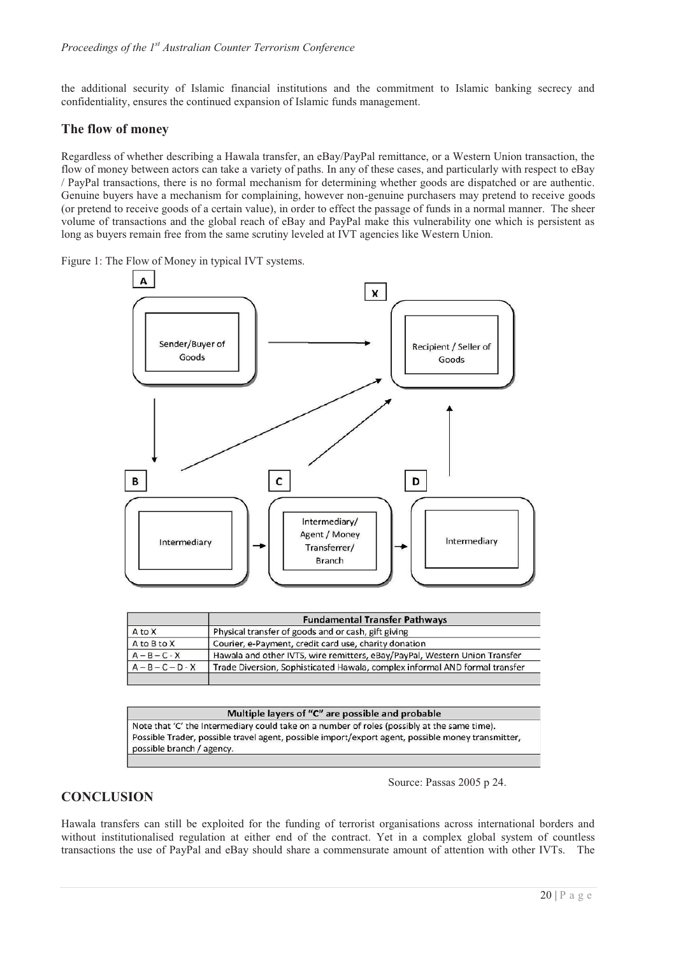the additional security of Islamic financial institutions and the commitment to Islamic banking secrecy and confidentiality, ensures the continued expansion of Islamic funds management.

#### **The flow of money**

Regardless of whether describing a Hawala transfer, an eBay/PayPal remittance, or a Western Union transaction, the flow of money between actors can take a variety of paths. In any of these cases, and particularly with respect to eBay / PayPal transactions, there is no formal mechanism for determining whether goods are dispatched or are authentic. Genuine buyers have a mechanism for complaining, however non-genuine purchasers may pretend to receive goods (or pretend to receive goods of a certain value), in order to effect the passage of funds in a normal manner. The sheer volume of transactions and the global reach of eBay and PayPal make this vulnerability one which is persistent as long as buyers remain free from the same scrutiny leveled at IVT agencies like Western Union.

Figure 1: The Flow of Money in typical IVT systems.



|                     | <b>Fundamental Transfer Pathways</b>                                        |  |  |
|---------------------|-----------------------------------------------------------------------------|--|--|
| A to X              | Physical transfer of goods and or cash, gift giving                         |  |  |
| A to B to X         | Courier, e-Payment, credit card use, charity donation                       |  |  |
| $A - B - C - X$     | Hawala and other IVTS, wire remitters, eBay/PayPal, Western Union Transfer  |  |  |
| $A - B - C - D - X$ | Trade Diversion, Sophisticated Hawala, complex informal AND formal transfer |  |  |
|                     |                                                                             |  |  |

#### Multiple layers of "C" are possible and probable

Note that 'C' the Intermediary could take on a number of roles (possibly at the same time). Possible Trader, possible travel agent, possible import/export agent, possible money transmitter, possible branch / agency.

Source: Passas 2005 p 24.

## **CONCLUSION**

Hawala transfers can still be exploited for the funding of terrorist organisations across international borders and without institutionalised regulation at either end of the contract. Yet in a complex global system of countless transactions the use of PayPal and eBay should share a commensurate amount of attention with other IVTs. The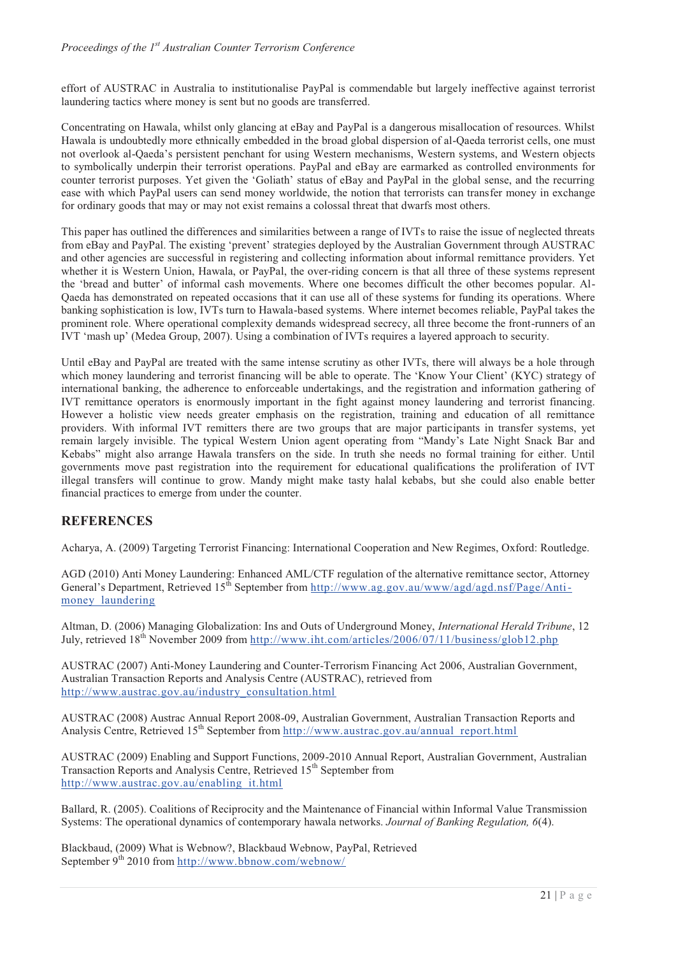effort of AUSTRAC in Australia to institutionalise PayPal is commendable but largely ineffective against terrorist laundering tactics where money is sent but no goods are transferred.

Concentrating on Hawala, whilst only glancing at eBay and PayPal is a dangerous misallocation of resources. Whilst Hawala is undoubtedly more ethnically embedded in the broad global dispersion of al-Qaeda terrorist cells, one must not overlook al-Qaeda's persistent penchant for using Western mechanisms, Western systems, and Western objects to symbolically underpin their terrorist operations. PayPal and eBay are earmarked as controlled environments for counter terrorist purposes. Yet given the 'Goliath' status of eBay and PayPal in the global sense, and the recurring ease with which PayPal users can send money worldwide, the notion that terrorists can transfer money in exchange for ordinary goods that may or may not exist remains a colossal threat that dwarfs most others.

This paper has outlined the differences and similarities between a range of IVTs to raise the issue of neglected threats from eBay and PayPal. The existing 'prevent' strategies deployed by the Australian Government through AUSTRAC and other agencies are successful in registering and collecting information about informal remittance providers. Yet whether it is Western Union, Hawala, or PayPal, the over-riding concern is that all three of these systems represent the 'bread and butter' of informal cash movements. Where one becomes difficult the other becomes popular. Al-Qaeda has demonstrated on repeated occasions that it can use all of these systems for funding its operations. Where banking sophistication is low, IVTs turn to Hawala-based systems. Where internet becomes reliable, PayPal takes the prominent role. Where operational complexity demands widespread secrecy, all three become the front-runners of an IVT 'mash up' (Medea Group, 2007). Using a combination of IVTs requires a layered approach to security.

Until eBay and PayPal are treated with the same intense scrutiny as other IVTs, there will always be a hole through which money laundering and terrorist financing will be able to operate. The 'Know Your Client' (KYC) strategy of international banking, the adherence to enforceable undertakings, and the registration and information gathering of IVT remittance operators is enormously important in the fight against money laundering and terrorist financing. However a holistic view needs greater emphasis on the registration, training and education of all remittance providers. With informal IVT remitters there are two groups that are major participants in transfer systems, yet remain largely invisible. The typical Western Union agent operating from "Mandy's Late Night Snack Bar and Kebabs" might also arrange Hawala transfers on the side. In truth she needs no formal training for either. Until governments move past registration into the requirement for educational qualifications the proliferation of IVT illegal transfers will continue to grow. Mandy might make tasty halal kebabs, but she could also enable better financial practices to emerge from under the counter.

## **REFERENCES**

Acharya, A. (2009) Targeting Terrorist Financing: International Cooperation and New Regimes, Oxford: Routledge.

AGD (2010) Anti Money Laundering: Enhanced AML/CTF regulation of the alternative remittance sector, Attorney General's Department, Retrieved 15<sup>th</sup> September from http://www.ag.gov.au/www/agd/agd.nsf/Page/Antimoney laundering

Altman, D. (2006) Managing Globalization: Ins and Outs of Underground Money, *International Herald Tribune*, 12 July, retrieved  $18^{th}$  November 2009 from http://www.iht.com/articles/2006/07/11/business/glob12.php

AUSTRAC (2007) Anti-Money Laundering and Counter-Terrorism Financing Act 2006, Australian Government, Australian Transaction Reports and Analysis Centre (AUSTRAC), retrieved from http://www.austrac.gov.au/industry\_consultation.html

AUSTRAC (2008) Austrac Annual Report 2008-09, Australian Government, Australian Transaction Reports and Analysis Centre, Retrieved  $15<sup>th</sup>$  September from http://www.austrac.gov.au/annual\_report.html

AUSTRAC (2009) Enabling and Support Functions, 2009-2010 Annual Report, Australian Government, Australian Transaction Reports and Analysis Centre, Retrieved 15<sup>th</sup> September from http://www.austrac.gov.au/enabling\_it.html

Ballard, R. (2005). Coalitions of Reciprocity and the Maintenance of Financial within Informal Value Transmission Systems: The operational dynamics of contemporary hawala networks. *Journal of Banking Regulation, 6*(4).

Blackbaud, (2009) What is Webnow?, Blackbaud Webnow, PayPal, Retrieved September  $9<sup>th</sup> 2010$  from http://www.bbnow.com/webnow/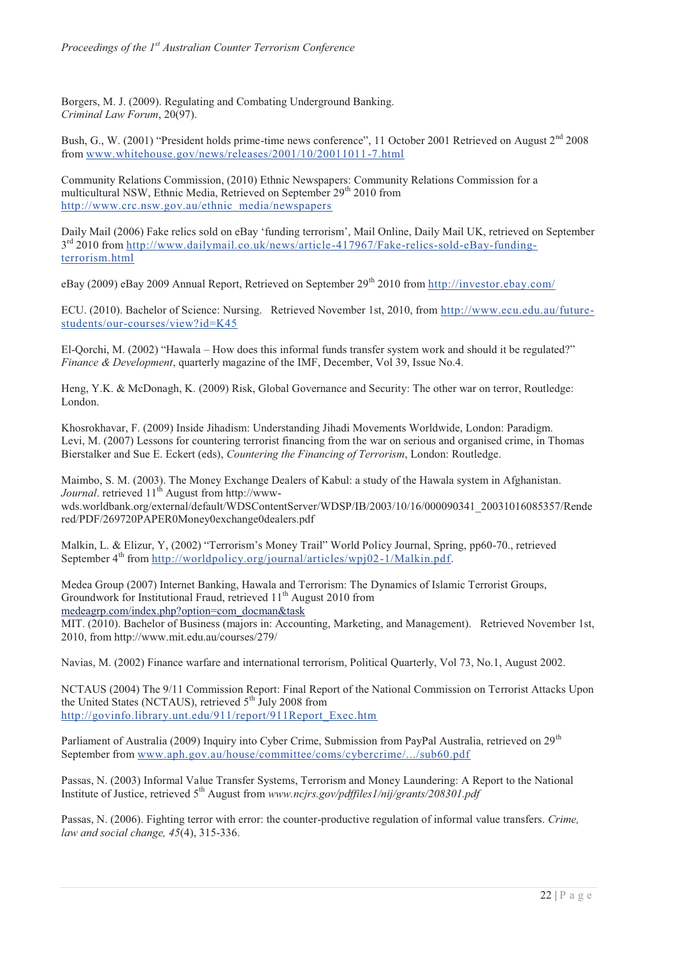Borgers, M. J. (2009). Regulating and Combating Underground Banking. *Criminal Law Forum*, 20(97).

Bush, G., W. (2001) "President holds prime-time news conference", 11 October 2001 Retrieved on August 2<sup>nd</sup> 2008 from www.whitehouse.gov/news/releases/2001/10/20011011-7.html

Community Relations Commission, (2010) Ethnic Newspapers: Community Relations Commission for a multicultural NSW, Ethnic Media, Retrieved on September 29<sup>th</sup> 2010 from http://www.crc.nsw.gov.au/ethnic\_media/newspapers

Daily Mail (2006) Fake relics sold on eBay 'funding terrorism', Mail Online, Daily Mail UK, retrieved on September 3rd 2010 from http://www.dailymail.co.uk/news/article-417967/Fake-relics-sold-eBay-fundingterrorism.html

eBay (2009) eBay 2009 Annual Report, Retrieved on September 29<sup>th</sup> 2010 from http://investor.ebay.com/

ECU. (2010). Bachelor of Science: Nursing. Retrieved November 1st, 2010, from http://www.ecu.edu.au/futurestudents/our-courses/view?id=K45

El-Qorchi, M. (2002) "Hawala – How does this informal funds transfer system work and should it be regulated?" *Finance & Development*, quarterly magazine of the IMF, December, Vol 39, Issue No.4.

Heng, Y.K. & McDonagh, K. (2009) Risk, Global Governance and Security: The other war on terror, Routledge: London.

Khosrokhavar, F. (2009) Inside Jihadism: Understanding Jihadi Movements Worldwide, London: Paradigm. Levi, M. (2007) Lessons for countering terrorist financing from the war on serious and organised crime, in Thomas Bierstalker and Sue E. Eckert (eds), *Countering the Financing of Terrorism*, London: Routledge.

Maimbo, S. M. (2003). The Money Exchange Dealers of Kabul: a study of the Hawala system in Afghanistan. *Journal*. retrieved 11<sup>th</sup> August from http://wwwwds.worldbank.org/external/default/WDSContentServer/WDSP/IB/2003/10/16/000090341\_20031016085357/Rende red/PDF/269720PAPER0Money0exchange0dealers.pdf

Malkin, L. & Elizur, Y, (2002) "Terrorism's Money Trail" World Policy Journal, Spring, pp60-70., retrieved September  $4<sup>th</sup>$  from http://worldpolicy.org/journal/articles/wpj02-1/Malkin.pdf.

Medea Group (2007) Internet Banking, Hawala and Terrorism: The Dynamics of Islamic Terrorist Groups, Groundwork for Institutional Fraud, retrieved 11<sup>th</sup> August 2010 from medeagrp.com/index.php?option=com\_docman&task

MIT. (2010). Bachelor of Business (majors in: Accounting, Marketing, and Management). Retrieved November 1st, 2010, from http://www.mit.edu.au/courses/279/

Navias, M. (2002) Finance warfare and international terrorism, Political Quarterly, Vol 73, No.1, August 2002.

NCTAUS (2004) The 9/11 Commission Report: Final Report of the National Commission on Terrorist Attacks Upon the United States (NCTAUS), retrieved  $5<sup>th</sup>$  July 2008 from http://govinfo.library.unt.edu/911/report/911Report\_Exec.htm

Parliament of Australia (2009) Inquiry into Cyber Crime, Submission from PayPal Australia, retrieved on 29<sup>th</sup> September from www.aph.gov.au/house/committee/coms/cybercrime/.../sub60.pdf

Passas, N. (2003) Informal Value Transfer Systems, Terrorism and Money Laundering: A Report to the National Institute of Justice, retrieved 5<sup>th</sup> August from *www.ncjrs.gov/pdffiles1/nij/grants/208301.pdf* 

Passas, N. (2006). Fighting terror with error: the counter-productive regulation of informal value transfers. *Crime, law and social change, 45*(4), 315-336.